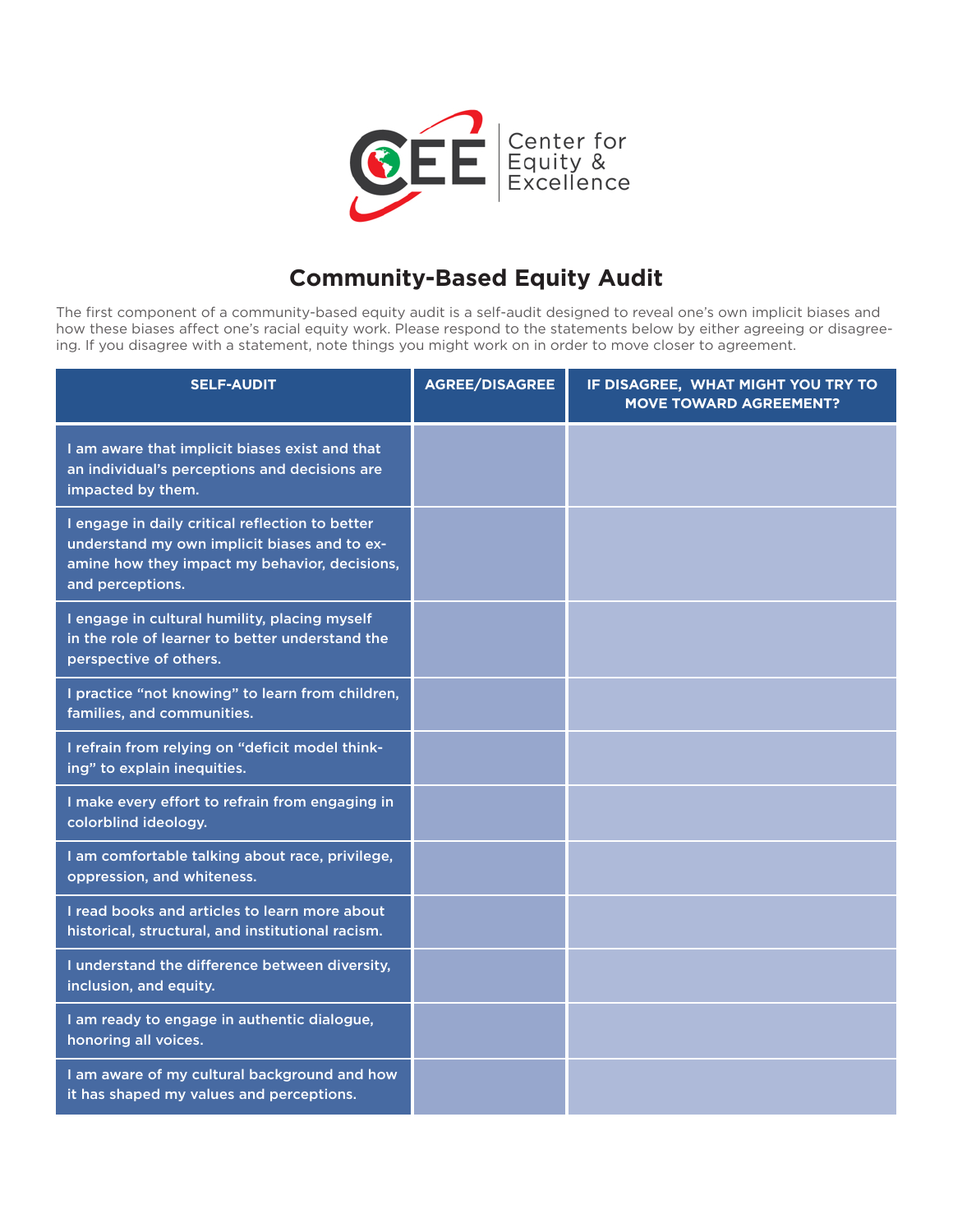

## **Community-Based Equity Audit**

The first component of a community-based equity audit is a self-audit designed to reveal one's own implicit biases and how these biases affect one's racial equity work. Please respond to the statements below by either agreeing or disagreeing. If you disagree with a statement, note things you might work on in order to move closer to agreement.

| <b>SELF-AUDIT</b>                                                                                                                                                    | <b>AGREE/DISAGREE</b> | IF DISAGREE, WHAT MIGHT YOU TRY TO<br><b>MOVE TOWARD AGREEMENT?</b> |
|----------------------------------------------------------------------------------------------------------------------------------------------------------------------|-----------------------|---------------------------------------------------------------------|
| I am aware that implicit biases exist and that<br>an individual's perceptions and decisions are<br>impacted by them.                                                 |                       |                                                                     |
| I engage in daily critical reflection to better<br>understand my own implicit biases and to ex-<br>amine how they impact my behavior, decisions,<br>and perceptions. |                       |                                                                     |
| I engage in cultural humility, placing myself<br>in the role of learner to better understand the<br>perspective of others.                                           |                       |                                                                     |
| I practice "not knowing" to learn from children,<br>families, and communities.                                                                                       |                       |                                                                     |
| I refrain from relying on "deficit model think-<br>ing" to explain inequities.                                                                                       |                       |                                                                     |
| I make every effort to refrain from engaging in<br>colorblind ideology.                                                                                              |                       |                                                                     |
| I am comfortable talking about race, privilege,<br>oppression, and whiteness.                                                                                        |                       |                                                                     |
| I read books and articles to learn more about<br>historical, structural, and institutional racism.                                                                   |                       |                                                                     |
| I understand the difference between diversity,<br>inclusion, and equity.                                                                                             |                       |                                                                     |
| I am ready to engage in authentic dialogue,<br>honoring all voices.                                                                                                  |                       |                                                                     |
| I am aware of my cultural background and how<br>it has shaped my values and perceptions.                                                                             |                       |                                                                     |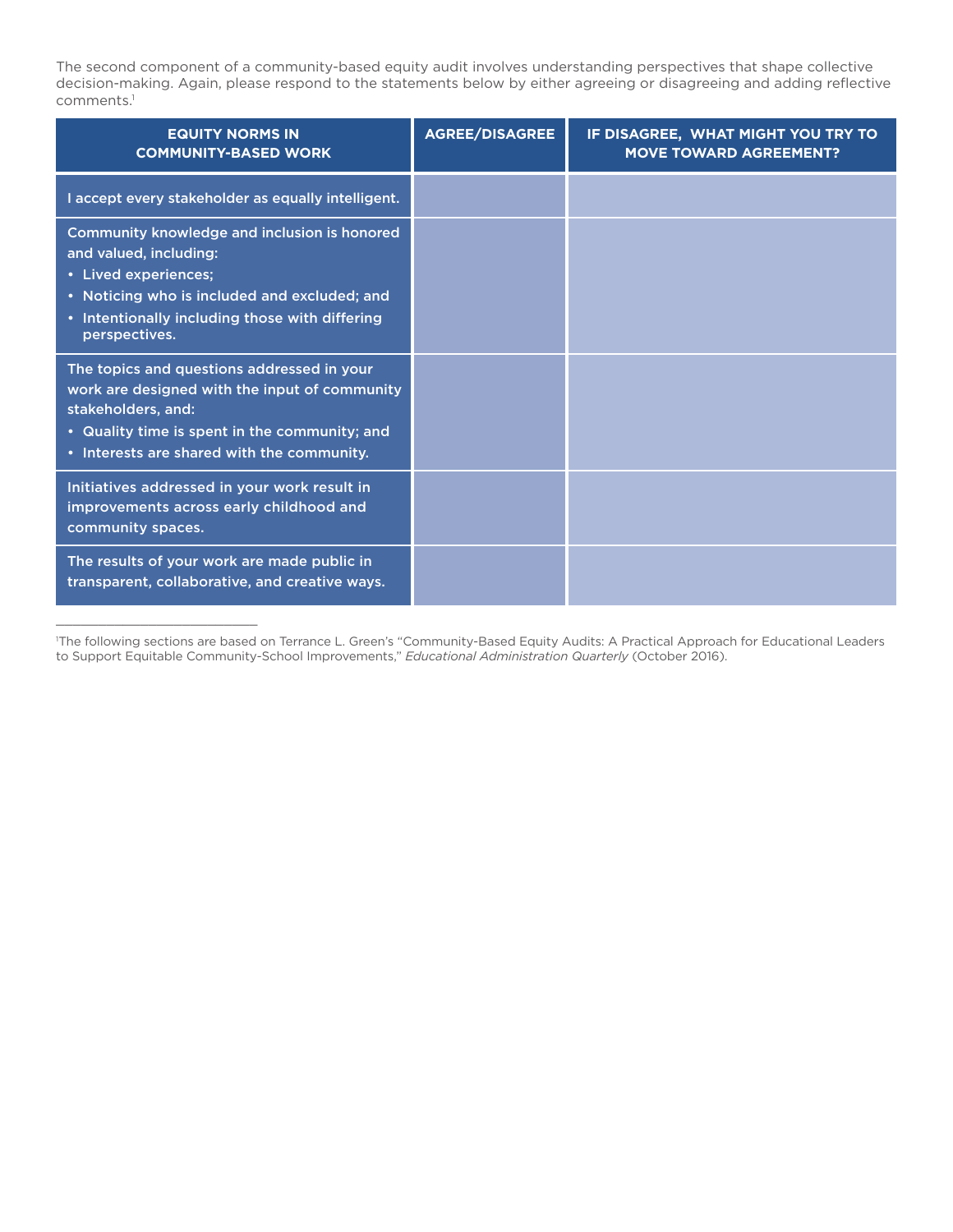The second component of a community-based equity audit involves understanding perspectives that shape collective decision-making. Again, please respond to the statements below by either agreeing or disagreeing and adding reflective comments.<sup>1</sup>

| <b>EQUITY NORMS IN</b><br><b>COMMUNITY-BASED WORK</b>                                                                                                                                                             | AGREE/DISAGREE | IF DISAGREE, WHAT MIGHT YOU TRY TO<br><b>MOVE TOWARD AGREEMENT?</b> |
|-------------------------------------------------------------------------------------------------------------------------------------------------------------------------------------------------------------------|----------------|---------------------------------------------------------------------|
| I accept every stakeholder as equally intelligent.                                                                                                                                                                |                |                                                                     |
| Community knowledge and inclusion is honored<br>and valued, including:<br>• Lived experiences;<br>• Noticing who is included and excluded; and<br>• Intentionally including those with differing<br>perspectives. |                |                                                                     |
| The topics and questions addressed in your<br>work are designed with the input of community<br>stakeholders, and:<br>• Quality time is spent in the community; and<br>• Interests are shared with the community.  |                |                                                                     |
| Initiatives addressed in your work result in<br>improvements across early childhood and<br>community spaces.                                                                                                      |                |                                                                     |
| The results of your work are made public in<br>transparent, collaborative, and creative ways.                                                                                                                     |                |                                                                     |

<sup>1</sup> The following sections are based on Terrance L. Green's "Community-Based Equity Audits: A Practical Approach for Educational Leaders to Support Equitable Community-School Improvements," *Educational Administration Quarterly* (October 2016).

\_\_\_\_\_\_\_\_\_\_\_\_\_\_\_\_\_\_\_\_\_\_\_\_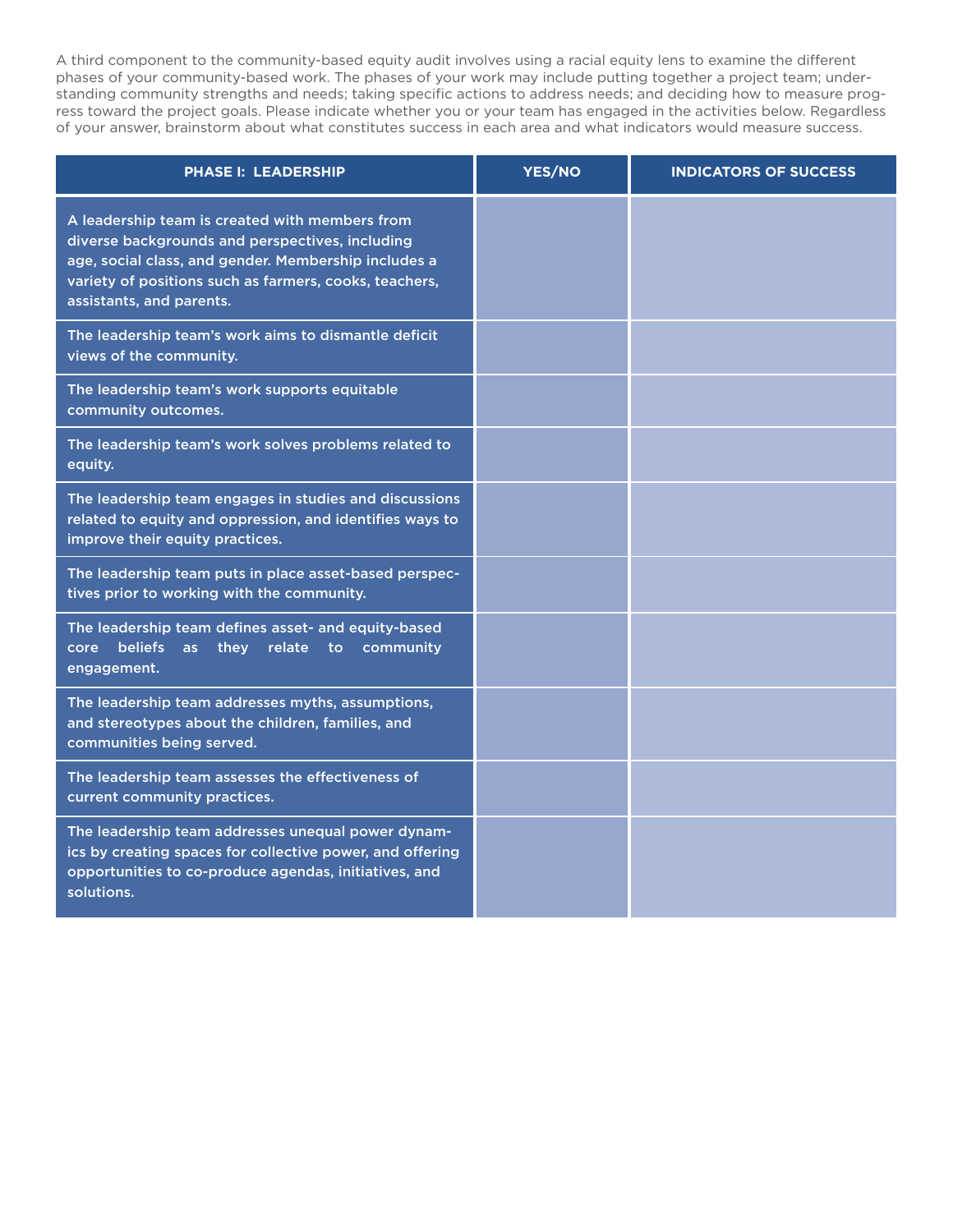A third component to the community-based equity audit involves using a racial equity lens to examine the different phases of your community-based work. The phases of your work may include putting together a project team; understanding community strengths and needs; taking specific actions to address needs; and deciding how to measure progress toward the project goals. Please indicate whether you or your team has engaged in the activities below. Regardless of your answer, brainstorm about what constitutes success in each area and what indicators would measure success.

| <b>PHASE I: LEADERSHIP</b>                                                                                                                                                                                                                      | YES/NO | <b>INDICATORS OF SUCCESS</b> |
|-------------------------------------------------------------------------------------------------------------------------------------------------------------------------------------------------------------------------------------------------|--------|------------------------------|
| A leadership team is created with members from<br>diverse backgrounds and perspectives, including<br>age, social class, and gender. Membership includes a<br>variety of positions such as farmers, cooks, teachers,<br>assistants, and parents. |        |                              |
| The leadership team's work aims to dismantle deficit<br>views of the community.                                                                                                                                                                 |        |                              |
| The leadership team's work supports equitable<br>community outcomes.                                                                                                                                                                            |        |                              |
| The leadership team's work solves problems related to<br>equity.                                                                                                                                                                                |        |                              |
| The leadership team engages in studies and discussions<br>related to equity and oppression, and identifies ways to<br>improve their equity practices.                                                                                           |        |                              |
| The leadership team puts in place asset-based perspec-<br>tives prior to working with the community.                                                                                                                                            |        |                              |
| The leadership team defines asset- and equity-based<br><b>beliefs</b><br>they<br>relate to<br>community<br>core<br>as<br>engagement.                                                                                                            |        |                              |
| The leadership team addresses myths, assumptions,<br>and stereotypes about the children, families, and<br>communities being served.                                                                                                             |        |                              |
| The leadership team assesses the effectiveness of<br>current community practices.                                                                                                                                                               |        |                              |
| The leadership team addresses unequal power dynam-<br>ics by creating spaces for collective power, and offering<br>opportunities to co-produce agendas, initiatives, and<br>solutions.                                                          |        |                              |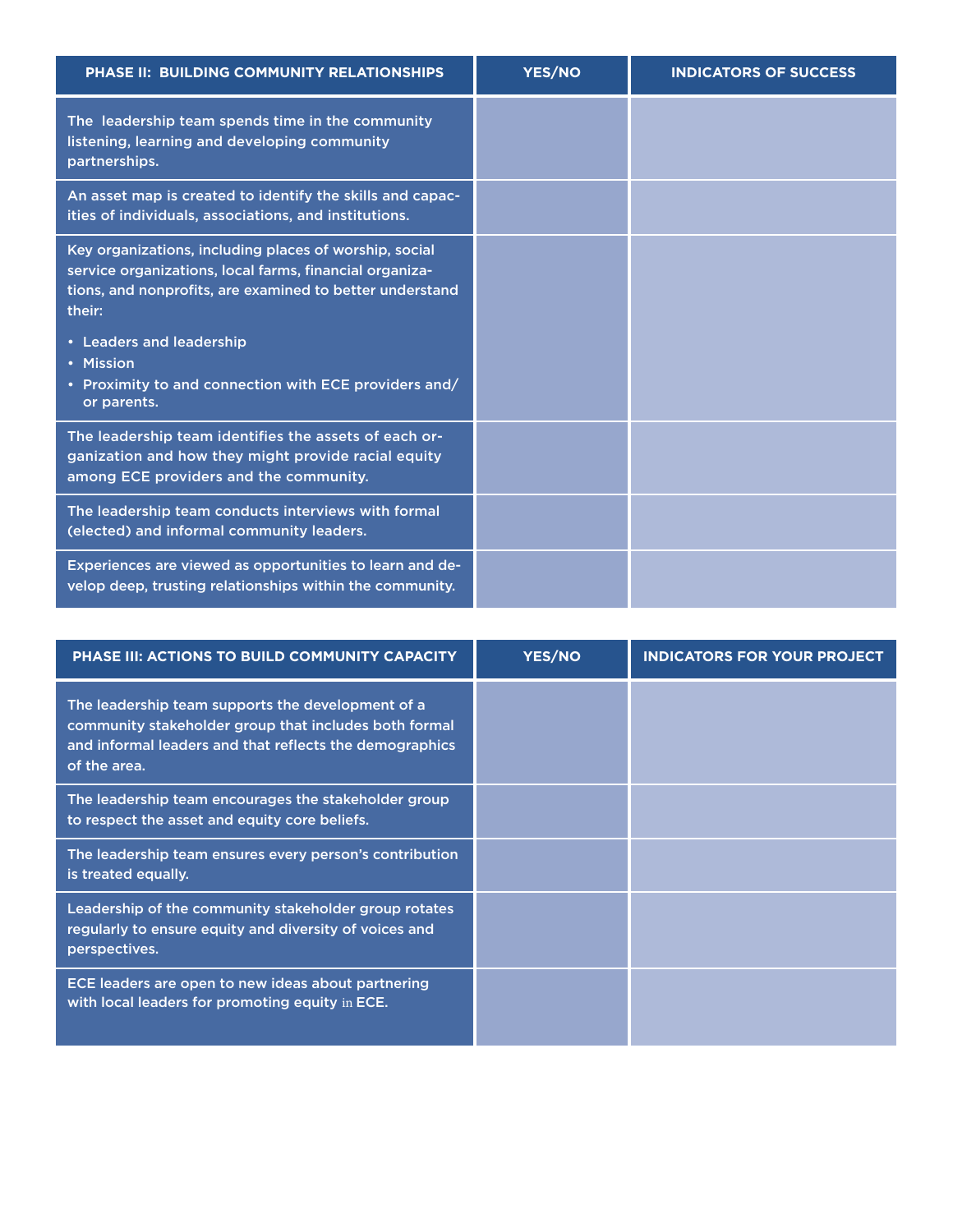| <b>PHASE II: BUILDING COMMUNITY RELATIONSHIPS</b>                                                                                                                                       | <b>YES/NO</b> | <b>INDICATORS OF SUCCESS</b> |
|-----------------------------------------------------------------------------------------------------------------------------------------------------------------------------------------|---------------|------------------------------|
| The leadership team spends time in the community<br>listening, learning and developing community<br>partnerships.                                                                       |               |                              |
| An asset map is created to identify the skills and capac-<br>ities of individuals, associations, and institutions.                                                                      |               |                              |
| Key organizations, including places of worship, social<br>service organizations, local farms, financial organiza-<br>tions, and nonprofits, are examined to better understand<br>their: |               |                              |
| • Leaders and leadership<br>• Mission<br>• Proximity to and connection with ECE providers and/<br>or parents.                                                                           |               |                              |
| The leadership team identifies the assets of each or-<br>ganization and how they might provide racial equity<br>among ECE providers and the community.                                  |               |                              |
| The leadership team conducts interviews with formal<br>(elected) and informal community leaders.                                                                                        |               |                              |
| Experiences are viewed as opportunities to learn and de-<br>velop deep, trusting relationships within the community.                                                                    |               |                              |

| <b>PHASE III: ACTIONS TO BUILD COMMUNITY CAPACITY</b>                                                                                                                                 | <b>YES/NO</b> | <b>INDICATORS FOR YOUR PROJECT</b> |
|---------------------------------------------------------------------------------------------------------------------------------------------------------------------------------------|---------------|------------------------------------|
| The leadership team supports the development of a<br>community stakeholder group that includes both formal<br>and informal leaders and that reflects the demographics<br>of the area. |               |                                    |
| The leadership team encourages the stakeholder group<br>to respect the asset and equity core beliefs.                                                                                 |               |                                    |
| The leadership team ensures every person's contribution<br>is treated equally.                                                                                                        |               |                                    |
| Leadership of the community stakeholder group rotates<br>regularly to ensure equity and diversity of voices and<br>perspectives.                                                      |               |                                    |
| ECE leaders are open to new ideas about partnering<br>with local leaders for promoting equity in ECE.                                                                                 |               |                                    |